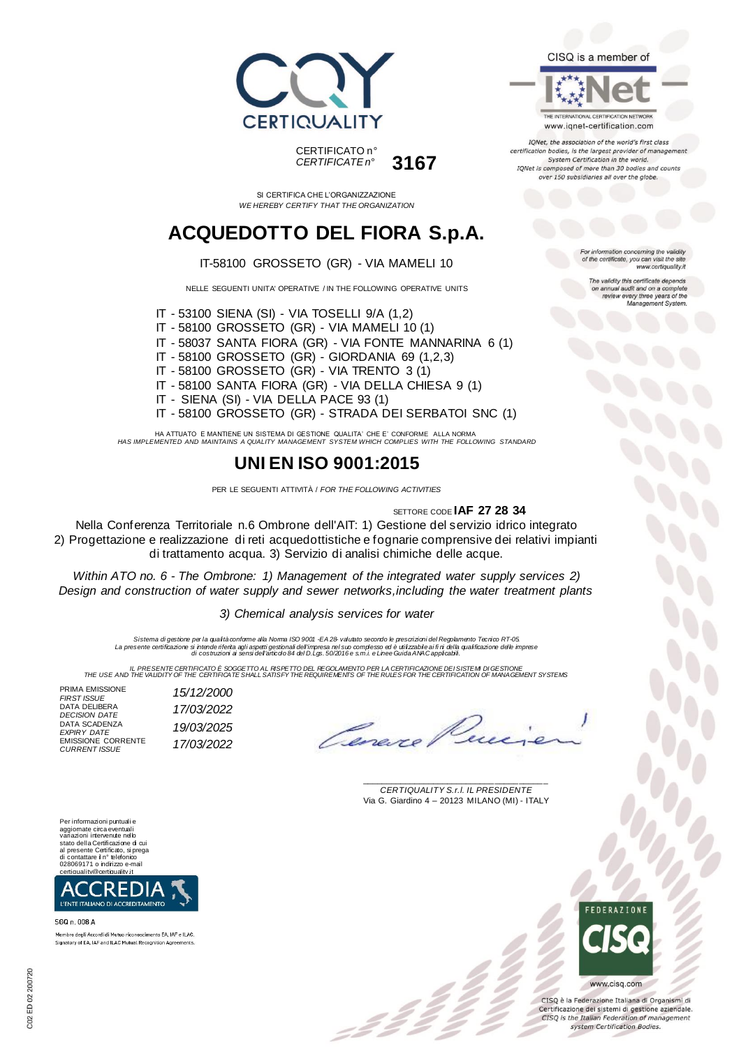

*CERTIFICATE n°* **3167**

SI CERTIFICA CHE L'ORGANIZZAZIONE *WE HEREBY CERTIFY THAT THE ORGANIZATION*

## **ACQUEDOTTO DEL FIORA S.p.A.**

#### IT-58100 GROSSETO (GR) - VIA MAMELI 10

NELLE SEGUENTI UNITA' OPERATIVE / IN THE FOLLOWING OPERATIVE UNITS

IT - 53100 SIENA (SI) - VIA TOSELLI 9/A (1,2) IT - 58100 GROSSETO (GR) - VIA MAMELI 10 (1) IT - 58037 SANTA FIORA (GR) - VIA FONTE MANNARINA 6 (1) IT - 58100 GROSSETO (GR) - GIORDANIA 69 (1,2,3) IT - 58100 GROSSETO (GR) - VIA TRENTO 3 (1)

- IT 58100 SANTA FIORA (GR) VIA DELLA CHIESA 9 (1)
- IT SIENA (SI) VIA DELLA PACE 93 (1)
- 

IT - 58100 GROSSETO (GR) - STRADA DEI SERBATOI SNC (1)

HA ATTUATO E MANTIENE UN SISTEMA DI GESTIONE QUALITA' CHE E' CONFORME ALLA NORMA *HAS IMPLEMENTED AND MAINTAINS A QUALITY MANAGEMENT SYSTEM WHICH COMPLIES WITH THE FOLLOWING STANDARD*

## **UNI EN ISO 9001:2015**

PER LE SEGUENTI ATTIVITÀ / *FOR THE FOLLOWING ACTIVITIES*

#### SETTORE CODE **IAF 27 28 34**

Nella Conferenza Territoriale n.6 Ombrone dell'AIT: 1) Gestione del servizio idrico integrato 2) Progettazione e realizzazione di reti acquedottistiche e fognarie comprensive dei relativi impianti di trattamento acqua. 3) Servizio di analisi chimiche delle acque.

*Within ATO no. 6 - The Ombrone: 1) Management of the integrated water supply services 2) Design and construction of water supply and sewer networks,including the water treatment plants*

*3) Chemical analysis services for water*

*Sistema di gestione per la qualità conforme alla Norma ISO 9001 -EA 28- valutato secondo le prescrizioni del Regolamento Tecnico RT-05.* La presente certificazione si intende riferita agli aspetti gestionali dell'impresa nel suo complesso ed è utilizzabile ai fi ni della qualificazione delle imprese<br>di costruzioni ai sensi dell'articdo 84 del D.Lgs. 50/2016

IL PRESSIVE THE RESENTE CERTIFICATO E SOGGETTO AL RISPETTO DEL REGOLAMENTO PER LA CERTIFICAZIONE DEI SISTEM DI<br>THE USE AND THE VALIDITY OF THE CERTIFICATE SHALL SATISFY THE REQUIREMENTS OF THE RULES FOR THE CERTIFICATION O

:22

| PRIMA EMISSIONE<br><b>FIRST ISSUE</b>             | 15/12/2000 |
|---------------------------------------------------|------------|
| DATA DELIBERA<br><b>DECISION DATE</b>             | 17/03/2022 |
| DATA SCADENZA<br><b>EXPIRY DATE</b>               | 19/03/2025 |
| <b>EMISSIONE CORRENTE</b><br><b>CURRENT ISSUE</b> | 17/03/2022 |
|                                                   |            |

Cena

\_\_\_\_\_\_\_\_\_\_\_\_\_\_\_\_\_\_\_\_\_\_\_\_\_\_\_\_\_\_\_\_\_\_\_\_\_\_\_ *CERTIQUALITY S.r.l. IL PRESIDENTE* Via G. Giardino 4 – 20123 MILANO (MI) - ITALY





SGQ n. 008 A

Membro degli Accordi di Mutuo riconoscimento EA. IAF e ILAC Signatory of EA, IAF and ILAC Mutual Recognition Agreements





IQNet, the association of the world's first class certification bodies, is the largest provider of management System Certification in the world. IQNet is composed of more than 30 bodies and counts over 150 subsidiaries all over the globe.

> tion concerning the validity of the certificate, you can visit the site www.certiquality.it

> > The validity this certificate depends on annual audit and on a complete<br>review every three years of the<br>Management System.



CISO è la Federazione Italiana di Organismi di Certificazione dei sistemi di gestione aziendale. CISQ is the Italian Federation of management system Certification Bodies.